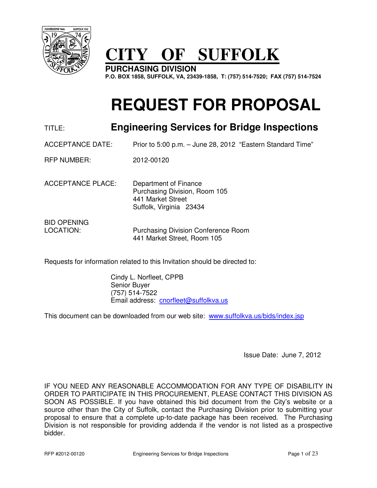

# **CITY OF SUFFOLK**

**PURCHASING DIVISION P.O. BOX 1858, SUFFOLK, VA, 23439-1858, T: (757) 514-7520; FAX (757) 514-7524** 

# **REQUEST FOR PROPOSAL**

# TITLE: **Engineering Services for Bridge Inspections**

ACCEPTANCE DATE: Prior to 5:00 p.m. – June 28, 2012 "Eastern Standard Time"

RFP NUMBER: 2012-00120

ACCEPTANCE PLACE: Department of Finance Purchasing Division, Room 105 441 Market Street Suffolk, Virginia 23434

BID OPENING

LOCATION: Purchasing Division Conference Room 441 Market Street, Room 105

Requests for information related to this Invitation should be directed to:

 Cindy L. Norfleet, CPPB Senior Buyer (757) 514-7522 Email address: cnorfleet@suffolkva.us

This document can be downloaded from our web site: www.suffolkva.us/bids/index.jsp

Issue Date: June 7, 2012

IF YOU NEED ANY REASONABLE ACCOMMODATION FOR ANY TYPE OF DISABILITY IN ORDER TO PARTICIPATE IN THIS PROCUREMENT, PLEASE CONTACT THIS DIVISION AS SOON AS POSSIBLE. If you have obtained this bid document from the City's website or a source other than the City of Suffolk, contact the Purchasing Division prior to submitting your proposal to ensure that a complete up-to-date package has been received. The Purchasing Division is not responsible for providing addenda if the vendor is not listed as a prospective bidder.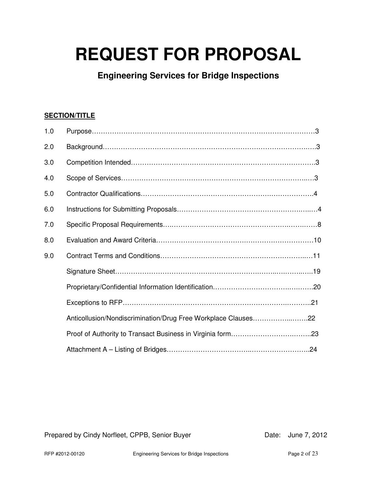# **REQUEST FOR PROPOSAL**

**Engineering Services for Bridge Inspections**

# **SECTION/TITLE**

| 1.0 |                                                               |  |
|-----|---------------------------------------------------------------|--|
| 2.0 |                                                               |  |
| 3.0 |                                                               |  |
| 4.0 |                                                               |  |
| 5.0 |                                                               |  |
| 6.0 |                                                               |  |
| 7.0 |                                                               |  |
| 8.0 |                                                               |  |
| 9.0 |                                                               |  |
|     |                                                               |  |
|     |                                                               |  |
|     |                                                               |  |
|     | Anticollusion/Nondiscrimination/Drug Free Workplace Clauses22 |  |
|     |                                                               |  |
|     |                                                               |  |

Prepared by Cindy Norfleet, CPPB, Senior Buyer **Date: June 7, 2012**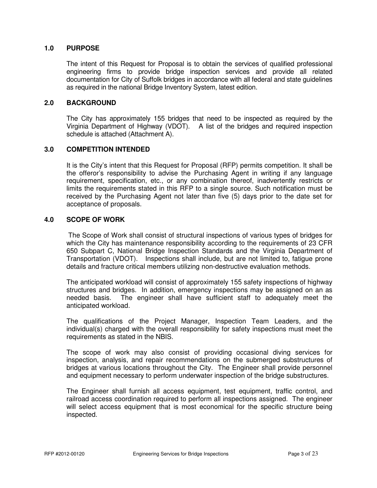# **1.0 PURPOSE**

The intent of this Request for Proposal is to obtain the services of qualified professional engineering firms to provide bridge inspection services and provide all related documentation for City of Suffolk bridges in accordance with all federal and state guidelines as required in the national Bridge Inventory System, latest edition.

# **2.0 BACKGROUND**

 The City has approximately 155 bridges that need to be inspected as required by the Virginia Department of Highway (VDOT). A list of the bridges and required inspection schedule is attached (Attachment A).

# **3.0 COMPETITION INTENDED**

It is the City's intent that this Request for Proposal (RFP) permits competition. It shall be the offeror's responsibility to advise the Purchasing Agent in writing if any language requirement, specification, etc., or any combination thereof, inadvertently restricts or limits the requirements stated in this RFP to a single source. Such notification must be received by the Purchasing Agent not later than five (5) days prior to the date set for acceptance of proposals.

#### **4.0 SCOPE OF WORK**

 The Scope of Work shall consist of structural inspections of various types of bridges for which the City has maintenance responsibility according to the requirements of 23 CFR 650 Subpart C, National Bridge Inspection Standards and the Virginia Department of Transportation (VDOT). Inspections shall include, but are not limited to, fatigue prone details and fracture critical members utilizing non-destructive evaluation methods.

 The anticipated workload will consist of approximately 155 safety inspections of highway structures and bridges. In addition, emergency inspections may be assigned on an as needed basis. The engineer shall have sufficient staff to adequately meet the anticipated workload.

 The qualifications of the Project Manager, Inspection Team Leaders, and the individual(s) charged with the overall responsibility for safety inspections must meet the requirements as stated in the NBIS.

 The scope of work may also consist of providing occasional diving services for inspection, analysis, and repair recommendations on the submerged substructures of bridges at various locations throughout the City. The Engineer shall provide personnel and equipment necessary to perform underwater inspection of the bridge substructures.

 The Engineer shall furnish all access equipment, test equipment, traffic control, and railroad access coordination required to perform all inspections assigned. The engineer will select access equipment that is most economical for the specific structure being inspected.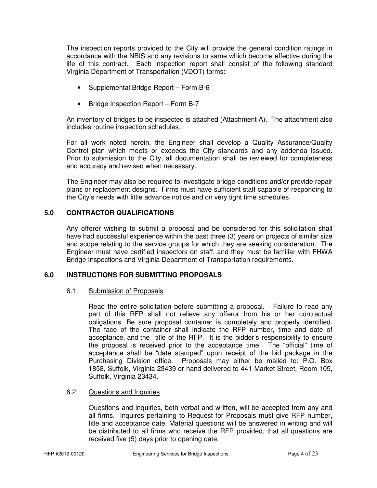The inspection reports provided to the City will provide the general condition ratings in accordance with the NBIS and any revisions to same which become effective during the life of this contract. Each inspection report shall consist of the following standard Virginia Department of Transportation (VDOT) forms:

- Supplemental Bridge Report Form B-6
- Bridge Inspection Report Form B-7

 An inventory of bridges to be inspected is attached (Attachment A). The attachment also includes routine inspection schedules.

 For all work noted herein, the Engineer shall develop a Quality Assurance/Quality Control plan which meets or exceeds the City standards and any addenda issued. Prior to submission to the City, all documentation shall be reviewed for completeness and accuracy and revised when necessary.

 The Engineer may also be required to investigate bridge conditions and/or provide repair plans or replacement designs. Firms must have sufficient staff capable of responding to the City's needs with little advance notice and on very tight time schedules.

# **5.0 CONTRACTOR QUALIFICATIONS**

Any offeror wishing to submit a proposal and be considered for this solicitation shall have had successful experience within the past three (3) years on projects of similar size and scope relating to the service groups for which they are seeking consideration. The Engineer must have certified inspectors on staff, and they must be familiar with FHWA Bridge Inspections and Virginia Department of Transportation requirements.

# **6.0 INSTRUCTIONS FOR SUBMITTING PROPOSALS**

#### 6.1 Submission of Proposals

 Read the entire solicitation before submitting a proposal. Failure to read any part of this RFP shall not relieve any offeror from his or her contractual obligations. Be sure proposal container is completely and properly identified. The face of the container shall indicate the RFP number, time and date of acceptance, and the title of the RFP. It is the bidder's responsibility to ensure the proposal is received prior to the acceptance time. The "official" time of acceptance shall be "date stamped" upon receipt of the bid package in the Purchasing Division office. Proposals may either be mailed to: P.O. Box 1858, Suffolk, Virginia 23439 or hand delivered to 441 Market Street, Room 105, Suffolk, Virginia 23434.

#### 6.2 Questions and Inquiries

 Questions and inquiries, both verbal and written, will be accepted from any and all firms. Inquires pertaining to Request for Proposals must give RFP number, title and acceptance date. Material questions will be answered in writing and will be distributed to all firms who receive the RFP provided, that all questions are received five (5) days prior to opening date.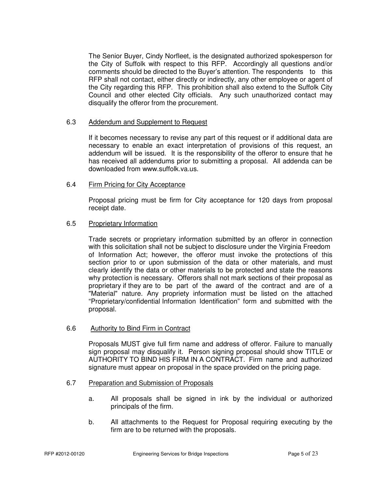The Senior Buyer, Cindy Norfleet, is the designated authorized spokesperson for the City of Suffolk with respect to this RFP. Accordingly all questions and/or comments should be directed to the Buyer's attention. The respondents to this RFP shall not contact, either directly or indirectly, any other employee or agent of the City regarding this RFP. This prohibition shall also extend to the Suffolk City Council and other elected City officials. Any such unauthorized contact may disqualify the offeror from the procurement.

# 6.3 Addendum and Supplement to Request

 If it becomes necessary to revise any part of this request or if additional data are necessary to enable an exact interpretation of provisions of this request, an addendum will be issued. It is the responsibility of the offeror to ensure that he has received all addendums prior to submitting a proposal. All addenda can be downloaded from www.suffolk.va.us.

# 6.4 Firm Pricing for City Acceptance

 Proposal pricing must be firm for City acceptance for 120 days from proposal receipt date.

# 6.5 Proprietary Information

 Trade secrets or proprietary information submitted by an offeror in connection with this solicitation shall not be subject to disclosure under the Virginia Freedom of Information Act; however, the offeror must invoke the protections of this section prior to or upon submission of the data or other materials, and must clearly identify the data or other materials to be protected and state the reasons why protection is necessary. Offerors shall not mark sections of their proposal as proprietary if they are to be part of the award of the contract and are of a "Material" nature. Any propriety information must be listed on the attached "Proprietary/confidential Information Identification" form and submitted with the proposal.

# 6.6 Authority to Bind Firm in Contract

 Proposals MUST give full firm name and address of offeror. Failure to manually sign proposal may disqualify it. Person signing proposal should show TITLE or AUTHORITY TO BIND HIS FIRM IN A CONTRACT. Firm name and authorized signature must appear on proposal in the space provided on the pricing page.

# 6.7 Preparation and Submission of Proposals

- a. All proposals shall be signed in ink by the individual or authorized principals of the firm.
- b. All attachments to the Request for Proposal requiring executing by the firm are to be returned with the proposals.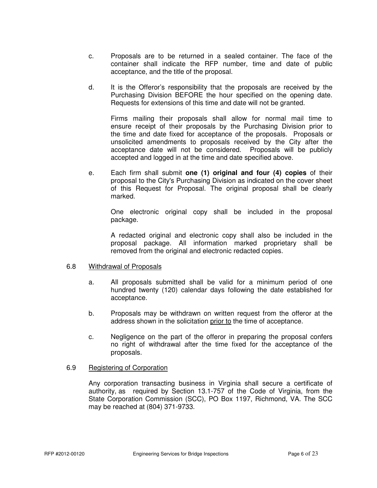- c. Proposals are to be returned in a sealed container. The face of the container shall indicate the RFP number, time and date of public acceptance, and the title of the proposal.
- d. It is the Offeror's responsibility that the proposals are received by the Purchasing Division BEFORE the hour specified on the opening date. Requests for extensions of this time and date will not be granted.

 Firms mailing their proposals shall allow for normal mail time to ensure receipt of their proposals by the Purchasing Division prior to the time and date fixed for acceptance of the proposals. Proposals or unsolicited amendments to proposals received by the City after the acceptance date will not be considered. Proposals will be publicly accepted and logged in at the time and date specified above.

 e. Each firm shall submit **one (1) original and four (4) copies** of their proposal to the City's Purchasing Division as indicated on the cover sheet of this Request for Proposal. The original proposal shall be clearly marked.

 One electronic original copy shall be included in the proposal package.

 A redacted original and electronic copy shall also be included in the proposal package. All information marked proprietary shall be removed from the original and electronic redacted copies.

# 6.8 Withdrawal of Proposals

- a. All proposals submitted shall be valid for a minimum period of one hundred twenty (120) calendar days following the date established for acceptance.
- b. Proposals may be withdrawn on written request from the offeror at the address shown in the solicitation prior to the time of acceptance.
- c. Negligence on the part of the offeror in preparing the proposal confers no right of withdrawal after the time fixed for the acceptance of the proposals.

#### 6.9 Registering of Corporation

 Any corporation transacting business in Virginia shall secure a certificate of authority, as required by Section 13.1-757 of the Code of Virginia, from the State Corporation Commission (SCC), PO Box 1197, Richmond, VA. The SCC may be reached at (804) 371-9733.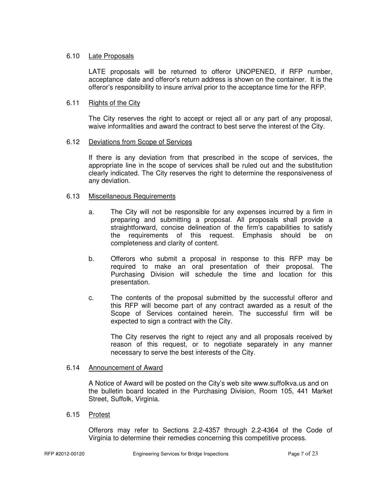# 6.10 Late Proposals

 LATE proposals will be returned to offeror UNOPENED, if RFP number, acceptance date and offeror's return address is shown on the container. It is the offeror's responsibility to insure arrival prior to the acceptance time for the RFP.

# 6.11 Rights of the City

 The City reserves the right to accept or reject all or any part of any proposal, waive informalities and award the contract to best serve the interest of the City.

#### 6.12 Deviations from Scope of Services

 If there is any deviation from that prescribed in the scope of services, the appropriate line in the scope of services shall be ruled out and the substitution clearly indicated. The City reserves the right to determine the responsiveness of any deviation.

# 6.13 Miscellaneous Requirements

- a. The City will not be responsible for any expenses incurred by a firm in preparing and submitting a proposal. All proposals shall provide a straightforward, concise delineation of the firm's capabilities to satisfy the requirements of this request. Emphasis should be on completeness and clarity of content.
- b. Offerors who submit a proposal in response to this RFP may be required to make an oral presentation of their proposal. The Purchasing Division will schedule the time and location for this presentation.
- c. The contents of the proposal submitted by the successful offeror and this RFP will become part of any contract awarded as a result of the Scope of Services contained herein. The successful firm will be expected to sign a contract with the City.

 The City reserves the right to reject any and all proposals received by reason of this request, or to negotiate separately in any manner necessary to serve the best interests of the City.

#### 6.14 Announcement of Award

 A Notice of Award will be posted on the City's web site www.suffolkva.us and on the bulletin board located in the Purchasing Division, Room 105, 441 Market Street, Suffolk, Virginia.

6.15 Protest

 Offerors may refer to Sections 2.2-4357 through 2.2-4364 of the Code of Virginia to determine their remedies concerning this competitive process.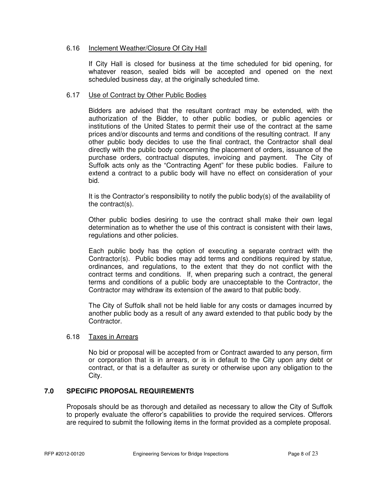# 6.16 Inclement Weather/Closure Of City Hall

 If City Hall is closed for business at the time scheduled for bid opening, for whatever reason, sealed bids will be accepted and opened on the next scheduled business day, at the originally scheduled time.

# 6.17 Use of Contract by Other Public Bodies

 Bidders are advised that the resultant contract may be extended, with the authorization of the Bidder, to other public bodies, or public agencies or institutions of the United States to permit their use of the contract at the same prices and/or discounts and terms and conditions of the resulting contract. If any other public body decides to use the final contract, the Contractor shall deal directly with the public body concerning the placement of orders, issuance of the purchase orders, contractual disputes, invoicing and payment. The City of Suffolk acts only as the "Contracting Agent" for these public bodies. Failure to extend a contract to a public body will have no effect on consideration of your bid.

It is the Contractor's responsibility to notify the public body(s) of the availability of the contract(s).

 Other public bodies desiring to use the contract shall make their own legal determination as to whether the use of this contract is consistent with their laws, regulations and other policies.

 Each public body has the option of executing a separate contract with the Contractor(s). Public bodies may add terms and conditions required by statue, ordinances, and regulations, to the extent that they do not conflict with the contract terms and conditions. If, when preparing such a contract, the general terms and conditions of a public body are unacceptable to the Contractor, the Contractor may withdraw its extension of the award to that public body.

 The City of Suffolk shall not be held liable for any costs or damages incurred by another public body as a result of any award extended to that public body by the Contractor.

#### 6.18 Taxes in Arrears

No bid or proposal will be accepted from or Contract awarded to any person, firm or corporation that is in arrears, or is in default to the City upon any debt or contract, or that is a defaulter as surety or otherwise upon any obligation to the City.

# **7.0 SPECIFIC PROPOSAL REQUIREMENTS**

Proposals should be as thorough and detailed as necessary to allow the City of Suffolk to properly evaluate the offeror's capabilities to provide the required services. Offerors are required to submit the following items in the format provided as a complete proposal.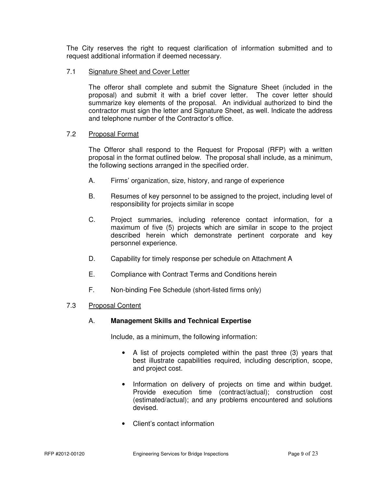The City reserves the right to request clarification of information submitted and to request additional information if deemed necessary.

# 7.1 Signature Sheet and Cover Letter

 The offeror shall complete and submit the Signature Sheet (included in the proposal) and submit it with a brief cover letter. The cover letter should summarize key elements of the proposal. An individual authorized to bind the contractor must sign the letter and Signature Sheet, as well. Indicate the address and telephone number of the Contractor's office.

# 7.2 Proposal Format

 The Offeror shall respond to the Request for Proposal (RFP) with a written proposal in the format outlined below. The proposal shall include, as a minimum, the following sections arranged in the specified order.

- A. Firms' organization, size, history, and range of experience
- B. Resumes of key personnel to be assigned to the project, including level of responsibility for projects similar in scope
- C. Project summaries, including reference contact information, for a maximum of five (5) projects which are similar in scope to the project described herein which demonstrate pertinent corporate and key personnel experience.
- D. Capability for timely response per schedule on Attachment A
- E. Compliance with Contract Terms and Conditions herein
- F. Non-binding Fee Schedule (short-listed firms only)

# 7.3 Proposal Content

# A. **Management Skills and Technical Expertise**

Include, as a minimum, the following information:

- A list of projects completed within the past three (3) years that best illustrate capabilities required, including description, scope, and project cost.
- Information on delivery of projects on time and within budget. Provide execution time (contract/actual); construction cost (estimated/actual); and any problems encountered and solutions devised.
- Client's contact information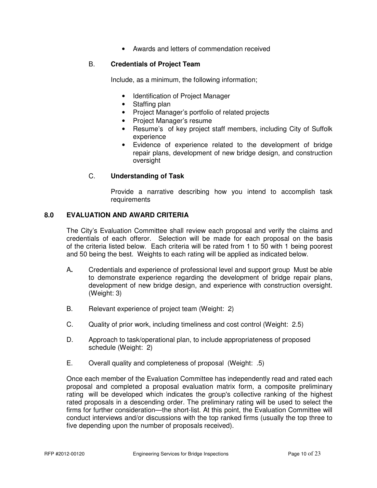• Awards and letters of commendation received

# B. **Credentials of Project Team**

Include, as a minimum, the following information;

- Identification of Project Manager
- Staffing plan
- Project Manager's portfolio of related projects
- Project Manager's resume
- Resume's of key project staff members, including City of Suffolk experience
- Evidence of experience related to the development of bridge repair plans, development of new bridge design, and construction oversight

# C. **Understanding of Task**

 Provide a narrative describing how you intend to accomplish task requirements

# **8.0 EVALUATION AND AWARD CRITERIA**

The City's Evaluation Committee shall review each proposal and verify the claims and credentials of each offeror. Selection will be made for each proposal on the basis of the criteria listed below. Each criteria will be rated from 1 to 50 with 1 being poorest and 50 being the best. Weights to each rating will be applied as indicated below.

- A**.** Credentials and experience of professional level and support group Must be able to demonstrate experience regarding the development of bridge repair plans, development of new bridge design, and experience with construction oversight. (Weight: 3)
- B. Relevant experience of project team (Weight: 2)
- C. Quality of prior work, including timeliness and cost control (Weight: 2.5)
- D. Approach to task/operational plan, to include appropriateness of proposed schedule (Weight: 2)
- E. Overall quality and completeness of proposal (Weight: .5)

 Once each member of the Evaluation Committee has independently read and rated each proposal and completed a proposal evaluation matrix form, a composite preliminary rating will be developed which indicates the group's collective ranking of the highest rated proposals in a descending order. The preliminary rating will be used to select the firms for further consideration—the short-list. At this point, the Evaluation Committee will conduct interviews and/or discussions with the top ranked firms (usually the top three to five depending upon the number of proposals received).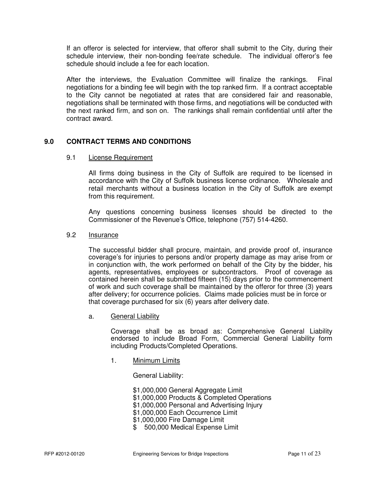If an offeror is selected for interview, that offeror shall submit to the City, during their schedule interview, their non-bonding fee/rate schedule. The individual offeror's fee schedule should include a fee for each location.

 After the interviews, the Evaluation Committee will finalize the rankings. Final negotiations for a binding fee will begin with the top ranked firm. If a contract acceptable to the City cannot be negotiated at rates that are considered fair and reasonable, negotiations shall be terminated with those firms, and negotiations will be conducted with the next ranked firm, and son on. The rankings shall remain confidential until after the contract award.

# **9.0 CONTRACT TERMS AND CONDITIONS**

#### 9.1 License Requirement

 All firms doing business in the City of Suffolk are required to be licensed in accordance with the City of Suffolk business license ordinance. Wholesale and retail merchants without a business location in the City of Suffolk are exempt from this requirement.

Any questions concerning business licenses should be directed to the Commissioner of the Revenue's Office, telephone (757) 514-4260.

#### 9.2 Insurance

 The successful bidder shall procure, maintain, and provide proof of, insurance coverage's for injuries to persons and/or property damage as may arise from or in conjunction with, the work performed on behalf of the City by the bidder, his agents, representatives, employees or subcontractors. Proof of coverage as contained herein shall be submitted fifteen (15) days prior to the commencement of work and such coverage shall be maintained by the offeror for three (3) years after delivery; for occurrence policies. Claims made policies must be in force or that coverage purchased for six (6) years after delivery date.

a. General Liability

 Coverage shall be as broad as: Comprehensive General Liability endorsed to include Broad Form, Commercial General Liability form including Products/Completed Operations.

1. Minimum Limits

General Liability:

 \$1,000,000 General Aggregate Limit \$1,000,000 Products & Completed Operations \$1,000,000 Personal and Advertising Injury \$1,000,000 Each Occurrence Limit \$1,000,000 Fire Damage Limit \$ 500,000 Medical Expense Limit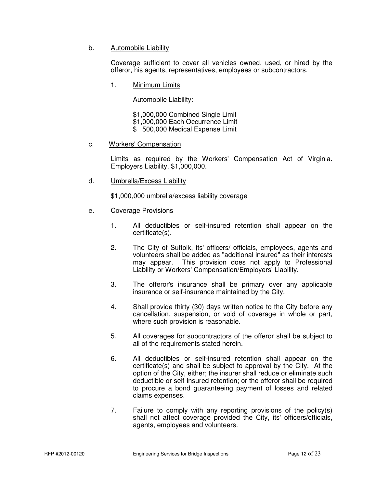# b. Automobile Liability

 Coverage sufficient to cover all vehicles owned, used, or hired by the offeror, his agents, representatives, employees or subcontractors.

1. Minimum Limits

Automobile Liability:

\$1,000,000 Combined Single Limit

- \$1,000,000 Each Occurrence Limit
- \$ 500,000 Medical Expense Limit

# c. Workers' Compensation

 Limits as required by the Workers' Compensation Act of Virginia. Employers Liability, \$1,000,000.

d. Umbrella/Excess Liability

\$1,000,000 umbrella/excess liability coverage

- e. Coverage Provisions
	- 1. All deductibles or self-insured retention shall appear on the certificate(s).
	- 2. The City of Suffolk, its' officers/ officials, employees, agents and volunteers shall be added as "additional insured" as their interests may appear. This provision does not apply to Professional Liability or Workers' Compensation/Employers' Liability.
	- 3. The offeror's insurance shall be primary over any applicable insurance or self-insurance maintained by the City.
	- 4. Shall provide thirty (30) days written notice to the City before any cancellation, suspension, or void of coverage in whole or part, where such provision is reasonable.
	- 5. All coverages for subcontractors of the offeror shall be subject to all of the requirements stated herein.
	- 6. All deductibles or self-insured retention shall appear on the certificate(s) and shall be subject to approval by the City. At the option of the City, either; the insurer shall reduce or eliminate such deductible or self-insured retention; or the offeror shall be required to procure a bond guaranteeing payment of losses and related claims expenses.
	- 7. Failure to comply with any reporting provisions of the policy(s) shall not affect coverage provided the City, its' officers/officials, agents, employees and volunteers.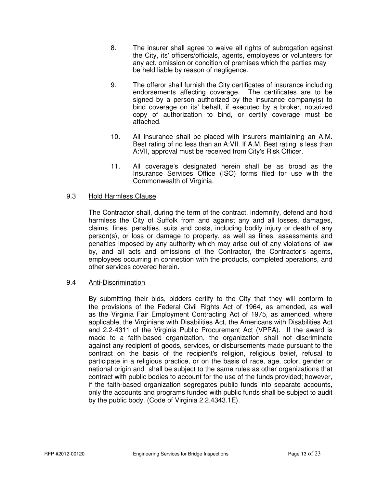- 8. The insurer shall agree to waive all rights of subrogation against the City, its' officers/officials, agents, employees or volunteers for any act, omission or condition of premises which the parties may be held liable by reason of negligence.
- 9. The offeror shall furnish the City certificates of insurance including endorsements affecting coverage. The certificates are to be signed by a person authorized by the insurance company(s) to bind coverage on its' behalf, if executed by a broker, notarized copy of authorization to bind, or certify coverage must be attached.
- 10. All insurance shall be placed with insurers maintaining an A.M. Best rating of no less than an A:VII. If A.M. Best rating is less than A:VII, approval must be received from City's Risk Officer.
- 11. All coverage's designated herein shall be as broad as the Insurance Services Office (ISO) forms filed for use with the Commonwealth of Virginia.

# 9.3 Hold Harmless Clause

The Contractor shall, during the term of the contract, indemnify, defend and hold harmless the City of Suffolk from and against any and all losses, damages, claims, fines, penalties, suits and costs, including bodily injury or death of any person(s), or loss or damage to property, as well as fines, assessments and penalties imposed by any authority which may arise out of any violations of law by, and all acts and omissions of the Contractor, the Contractor's agents, employees occurring in connection with the products, completed operations, and other services covered herein.

# 9.4 Anti-Discrimination

 By submitting their bids, bidders certify to the City that they will conform to the provisions of the Federal Civil Rights Act of 1964, as amended, as well as the Virginia Fair Employment Contracting Act of 1975, as amended, where applicable, the Virginians with Disabilities Act, the Americans with Disabilities Act and 2.2-4311 of the Virginia Public Procurement Act (VPPA). If the award is made to a faith-based organization, the organization shall not discriminate against any recipient of goods, services, or disbursements made pursuant to the contract on the basis of the recipient's religion, religious belief, refusal to participate in a religious practice, or on the basis of race, age, color, gender or national origin and shall be subject to the same rules as other organizations that contract with public bodies to account for the use of the funds provided; however, if the faith-based organization segregates public funds into separate accounts, only the accounts and programs funded with public funds shall be subject to audit by the public body. (Code of Virginia 2.2.4343.1E).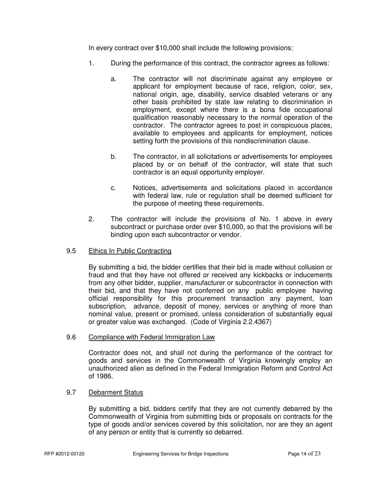In every contract over \$10,000 shall include the following provisions:

- 1. During the performance of this contract, the contractor agrees as follows:
	- a. The contractor will not discriminate against any employee or applicant for employment because of race, religion, color, sex, national origin, age, disability, service disabled veterans or any other basis prohibited by state law relating to discrimination in employment, except where there is a bona fide occupational qualification reasonably necessary to the normal operation of the contractor. The contractor agrees to post in conspicuous places, available to employees and applicants for employment, notices setting forth the provisions of this nondiscrimination clause.
	- b. The contractor, in all solicitations or advertisements for employees placed by or on behalf of the contractor, will state that such contractor is an equal opportunity employer.
	- c. Notices, advertisements and solicitations placed in accordance with federal law, rule or regulation shall be deemed sufficient for the purpose of meeting these requirements.
- 2. The contractor will include the provisions of No. 1 above in every subcontract or purchase order over \$10,000, so that the provisions will be binding upon each subcontractor or vendor.

# 9.5 Ethics In Public Contracting

By submitting a bid, the bidder certifies that their bid is made without collusion or fraud and that they have not offered or received any kickbacks or inducements from any other bidder, supplier, manufacturer or subcontractor in connection with their bid, and that they have not conferred on any public employee having official responsibility for this procurement transaction any payment, loan subscription, advance, deposit of money, services or anything of more than nominal value, present or promised, unless consideration of substantially equal or greater value was exchanged. (Code of Virginia 2.2.4367)

# 9.6 Compliance with Federal Immigration Law

Contractor does not, and shall not during the performance of the contract for goods and services in the Commonwealth of Virginia knowingly employ an unauthorized alien as defined in the Federal Immigration Reform and Control Act of 1986.

# 9.7 Debarment Status

By submitting a bid, bidders certify that they are not currently debarred by the Commonwealth of Virginia from submitting bids or proposals on contracts for the type of goods and/or services covered by this solicitation, nor are they an agent of any person or entity that is currently so debarred.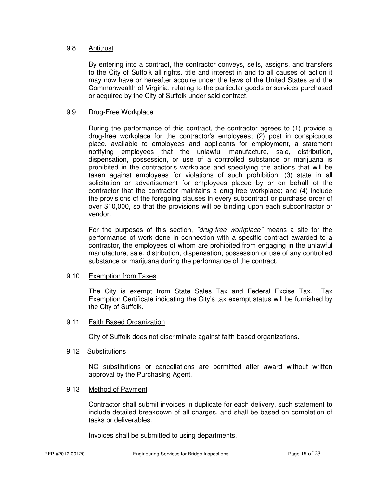#### 9.8 Antitrust

By entering into a contract, the contractor conveys, sells, assigns, and transfers to the City of Suffolk all rights, title and interest in and to all causes of action it may now have or hereafter acquire under the laws of the United States and the Commonwealth of Virginia, relating to the particular goods or services purchased or acquired by the City of Suffolk under said contract.

#### 9.9 Drug-Free Workplace

During the performance of this contract, the contractor agrees to (1) provide a drug-free workplace for the contractor's employees; (2) post in conspicuous place, available to employees and applicants for employment, a statement notifying employees that the unlawful manufacture, sale, distribution, dispensation, possession, or use of a controlled substance or marijuana is prohibited in the contractor's workplace and specifying the actions that will be taken against employees for violations of such prohibition; (3) state in all solicitation or advertisement for employees placed by or on behalf of the contractor that the contractor maintains a drug-free workplace; and (4) include the provisions of the foregoing clauses in every subcontract or purchase order of over \$10,000, so that the provisions will be binding upon each subcontractor or vendor.

For the purposes of this section, "drug-free workplace" means a site for the performance of work done in connection with a specific contract awarded to a contractor, the employees of whom are prohibited from engaging in the unlawful manufacture, sale, distribution, dispensation, possession or use of any controlled substance or marijuana during the performance of the contract.

#### 9.10 Exemption from Taxes

The City is exempt from State Sales Tax and Federal Excise Tax. Tax Exemption Certificate indicating the City's tax exempt status will be furnished by the City of Suffolk.

#### 9.11 Faith Based Organization

City of Suffolk does not discriminate against faith-based organizations.

#### 9.12 Substitutions

NO substitutions or cancellations are permitted after award without written approval by the Purchasing Agent.

# 9.13 Method of Payment

Contractor shall submit invoices in duplicate for each delivery, such statement to include detailed breakdown of all charges, and shall be based on completion of tasks or deliverables.

Invoices shall be submitted to using departments.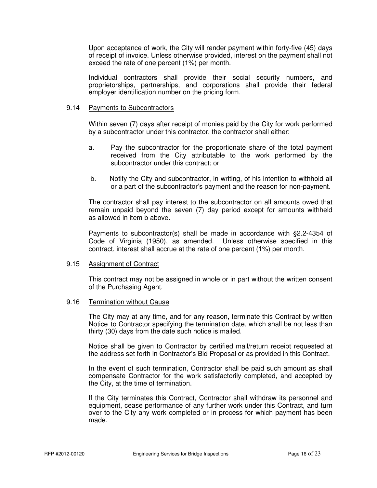Upon acceptance of work, the City will render payment within forty-five (45) days of receipt of invoice. Unless otherwise provided, interest on the payment shall not exceed the rate of one percent (1%) per month.

 Individual contractors shall provide their social security numbers, and proprietorships, partnerships, and corporations shall provide their federal employer identification number on the pricing form.

#### 9.14 Payments to Subcontractors

Within seven (7) days after receipt of monies paid by the City for work performed by a subcontractor under this contractor, the contractor shall either:

- a. Pay the subcontractor for the proportionate share of the total payment received from the City attributable to the work performed by the subcontractor under this contract; or
- b. Notify the City and subcontractor, in writing, of his intention to withhold all or a part of the subcontractor's payment and the reason for non-payment.

The contractor shall pay interest to the subcontractor on all amounts owed that remain unpaid beyond the seven (7) day period except for amounts withheld as allowed in item b above.

Payments to subcontractor(s) shall be made in accordance with §2.2-4354 of Code of Virginia (1950), as amended. Unless otherwise specified in this contract, interest shall accrue at the rate of one percent (1%) per month.

#### 9.15 Assignment of Contract

This contract may not be assigned in whole or in part without the written consent of the Purchasing Agent.

#### 9.16 Termination without Cause

 The City may at any time, and for any reason, terminate this Contract by written Notice to Contractor specifying the termination date, which shall be not less than thirty (30) days from the date such notice is mailed.

 Notice shall be given to Contractor by certified mail/return receipt requested at the address set forth in Contractor's Bid Proposal or as provided in this Contract.

 In the event of such termination, Contractor shall be paid such amount as shall compensate Contractor for the work satisfactorily completed, and accepted by the City, at the time of termination.

 If the City terminates this Contract, Contractor shall withdraw its personnel and equipment, cease performance of any further work under this Contract, and turn over to the City any work completed or in process for which payment has been made.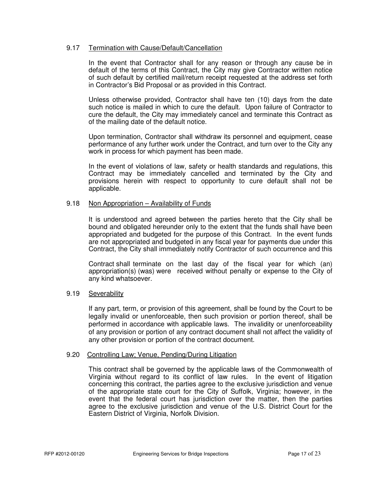# 9.17 Termination with Cause/Default/Cancellation

 In the event that Contractor shall for any reason or through any cause be in default of the terms of this Contract, the City may give Contractor written notice of such default by certified mail/return receipt requested at the address set forth in Contractor's Bid Proposal or as provided in this Contract.

 Unless otherwise provided, Contractor shall have ten (10) days from the date such notice is mailed in which to cure the default. Upon failure of Contractor to cure the default, the City may immediately cancel and terminate this Contract as of the mailing date of the default notice.

 Upon termination, Contractor shall withdraw its personnel and equipment, cease performance of any further work under the Contract, and turn over to the City any work in process for which payment has been made.

 In the event of violations of law, safety or health standards and regulations, this Contract may be immediately cancelled and terminated by the City and provisions herein with respect to opportunity to cure default shall not be applicable.

#### 9.18 Non Appropriation – Availability of Funds

 It is understood and agreed between the parties hereto that the City shall be bound and obligated hereunder only to the extent that the funds shall have been appropriated and budgeted for the purpose of this Contract. In the event funds are not appropriated and budgeted in any fiscal year for payments due under this Contract, the City shall immediately notify Contractor of such occurrence and this

 Contract shall terminate on the last day of the fiscal year for which (an) appropriation(s) (was) were received without penalty or expense to the City of any kind whatsoever.

#### 9.19 Severability

If any part, term, or provision of this agreement, shall be found by the Court to be legally invalid or unenforceable, then such provision or portion thereof, shall be performed in accordance with applicable laws. The invalidity or unenforceability of any provision or portion of any contract document shall not affect the validity of any other provision or portion of the contract document.

#### 9.20 Controlling Law; Venue, Pending/During Litigation

 This contract shall be governed by the applicable laws of the Commonwealth of Virginia without regard to its conflict of law rules. In the event of litigation concerning this contract, the parties agree to the exclusive jurisdiction and venue of the appropriate state court for the City of Suffolk, Virginia; however, in the event that the federal court has jurisdiction over the matter, then the parties agree to the exclusive jurisdiction and venue of the U.S. District Court for the Eastern District of Virginia, Norfolk Division.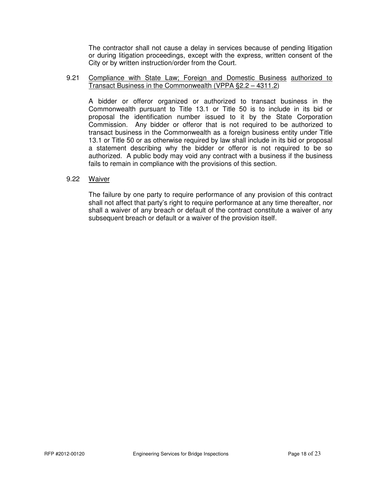The contractor shall not cause a delay in services because of pending litigation or during litigation proceedings, except with the express, written consent of the City or by written instruction/order from the Court.

#### 9.21 Compliance with State Law; Foreign and Domestic Business authorized to Transact Business in the Commonwealth (VPPA §2.2 – 4311.2)

 A bidder or offeror organized or authorized to transact business in the Commonwealth pursuant to Title 13.1 or Title 50 is to include in its bid or proposal the identification number issued to it by the State Corporation Commission. Any bidder or offeror that is not required to be authorized to transact business in the Commonwealth as a foreign business entity under Title 13.1 or Title 50 or as otherwise required by law shall include in its bid or proposal a statement describing why the bidder or offeror is not required to be so authorized. A public body may void any contract with a business if the business fails to remain in compliance with the provisions of this section.

#### 9.22 Waiver

 The failure by one party to require performance of any provision of this contract shall not affect that party's right to require performance at any time thereafter, nor shall a waiver of any breach or default of the contract constitute a waiver of any subsequent breach or default or a waiver of the provision itself.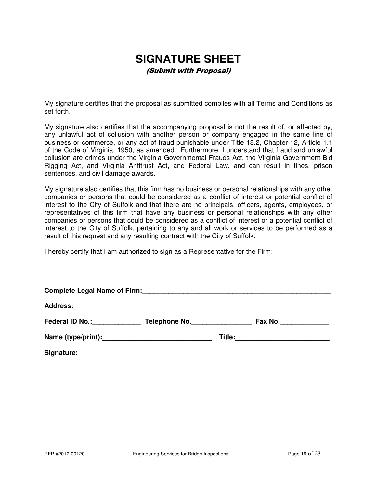# **SIGNATURE SHEET**

(Submit with Proposal)

My signature certifies that the proposal as submitted complies with all Terms and Conditions as set forth.

My signature also certifies that the accompanying proposal is not the result of, or affected by, any unlawful act of collusion with another person or company engaged in the same line of business or commerce, or any act of fraud punishable under Title 18.2, Chapter 12, Article 1.1 of the Code of Virginia, 1950, as amended. Furthermore, I understand that fraud and unlawful collusion are crimes under the Virginia Governmental Frauds Act, the Virginia Government Bid Rigging Act, and Virginia Antitrust Act, and Federal Law, and can result in fines, prison sentences, and civil damage awards.

My signature also certifies that this firm has no business or personal relationships with any other companies or persons that could be considered as a conflict of interest or potential conflict of interest to the City of Suffolk and that there are no principals, officers, agents, employees, or representatives of this firm that have any business or personal relationships with any other companies or persons that could be considered as a conflict of interest or a potential conflict of interest to the City of Suffolk, pertaining to any and all work or services to be performed as a result of this request and any resulting contract with the City of Suffolk.

I hereby certify that I am authorized to sign as a Representative for the Firm:

| <b>Complete Legal Name of Firm:</b> |               |  |         |  |  |  |
|-------------------------------------|---------------|--|---------|--|--|--|
|                                     |               |  |         |  |  |  |
| Federal ID No.: Federal ID No.:     | Telephone No. |  | Fax No. |  |  |  |
|                                     |               |  |         |  |  |  |
| Signature:                          |               |  |         |  |  |  |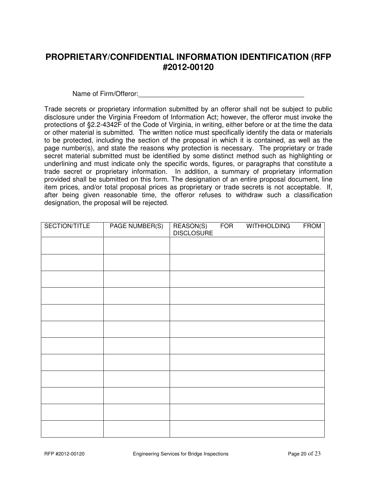# **PROPRIETARY/CONFIDENTIAL INFORMATION IDENTIFICATION (RFP #2012-00120**

Name of Firm/Offeror:  $\blacksquare$ 

Trade secrets or proprietary information submitted by an offeror shall not be subject to public disclosure under the Virginia Freedom of Information Act; however, the offeror must invoke the protections of §2.2-4342F of the Code of Virginia, in writing, either before or at the time the data or other material is submitted. The written notice must specifically identify the data or materials to be protected, including the section of the proposal in which it is contained, as well as the page number(s), and state the reasons why protection is necessary. The proprietary or trade secret material submitted must be identified by some distinct method such as highlighting or underlining and must indicate only the specific words, figures, or paragraphs that constitute a trade secret or proprietary information. In addition, a summary of proprietary information provided shall be submitted on this form. The designation of an entire proposal document, line item prices, and/or total proposal prices as proprietary or trade secrets is not acceptable. If, after being given reasonable time, the offeror refuses to withdraw such a classification designation, the proposal will be rejected.

| SECTION/TITLE | PAGE NUMBER(S) | REASON(S)<br>DISCLOSURE | <b>FOR</b> | <b>WITHHOLDING</b> | <b>FROM</b> |
|---------------|----------------|-------------------------|------------|--------------------|-------------|
|               |                |                         |            |                    |             |
|               |                |                         |            |                    |             |
|               |                |                         |            |                    |             |
|               |                |                         |            |                    |             |
|               |                |                         |            |                    |             |
|               |                |                         |            |                    |             |
|               |                |                         |            |                    |             |
|               |                |                         |            |                    |             |
|               |                |                         |            |                    |             |
|               |                |                         |            |                    |             |
|               |                |                         |            |                    |             |
|               |                |                         |            |                    |             |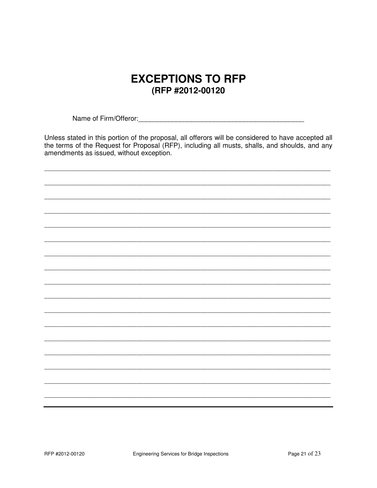# **EXCEPTIONS TO RFP** (RFP #2012-00120

Unless stated in this portion of the proposal, all offerors will be considered to have accepted all the terms of the Request for Proposal (RFP), including all musts, shalls, and shoulds, and any amendments as issued, without exception.

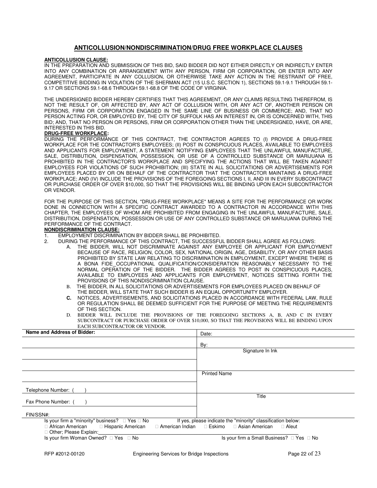#### **ANTICOLLUSION/NONDISCRIMINATION/DRUG FREE WORKPLACE CLAUSES**

#### **ANTICOLLUSION CLAUSE:**

IN THE PREPARATION AND SUBMISSION OF THIS BID, SAID BIDDER DID NOT EITHER DIRECTLY OR INDIRECTLY ENTER INTO ANY COMBINATION OR ARRANGEMENT WITH ANY PERSON, FIRM OR CORPORATION, OR ENTER INTO ANY AGREEMENT, PARTICIPATE IN ANY COLLUSION, OR OTHERWISE TAKE ANY ACTION IN THE RESTRAINT OF FREE, COMPETITIVE BIDDING IN VIOLATION OF THE SHERMAN ACT (15 U.S.C. SECTION 1), SECTIONS 59.1-9.1 THROUGH 59.1- 9.17 OR SECTIONS 59.1-68.6 THROUGH 59.1-68.8 OF THE CODE OF VIRGINIA.

THE UNDERSIGNED BIDDER HEREBY CERTIFIES THAT THIS AGREEMENT, OR ANY CLAIMS RESULTING THEREFROM, IS NOT THE RESULT OF, OR AFFECTED BY, ANY ACT OF COLLUSION WITH, OR ANY ACT OF, ANOTHER PERSON OR PERSONS, FIRM OR CORPORATION ENGAGED IN THE SAME LINE OF BUSINESS OR COMMERCE; AND, THAT NO PERSON ACTING FOR, OR EMPLOYED BY, THE CITY OF SUFFOLK HAS AN INTEREST IN, OR IS CONCERNED WITH, THIS BID; AND, THAT NO PERSON OR PERSONS, FIRM OR CORPORATION OTHER THAN THE UNDERSIGNED, HAVE, OR ARE, INTERESTED IN THIS BID.

#### **DRUG-FREE WORKPLACE:**

DURING THE PERFORMANCE OF THIS CONTRACT, THE CONTRACTOR AGREES TO (I) PROVIDE A DRUG-FREE WORKPLACE FOR THE CONTRACTOR'S EMPLOYEES; (II) POST IN CONSPICUOUS PLACES, AVAILABLE TO EMPLOYEES AND APPLICANTS FOR EMPLOYMENT, A STATEMENT NOTIFYING EMPLOYEES THAT THE UNLAWFUL MANUFACTURE, SALE, DISTRIBUTION, DISPENSATION, POSSESSION, OR USE OF A CONTROLLED SUBSTANCE OR MARIJUANA IS PROHIBITED IN THE CONTRACTOR'S WORKPLACE AND SPECIFYING THE ACTIONS THAT WILL BE TAKEN AGAINST EMPLOYEES FOR VIOLATIONS OF SUCH PROHIBITION; (III) STATE IN ALL SOLICITATIONS OR ADVERTISEMENTS FOR EMPLOYEES PLACED BY OR ON BEHALF OF THE CONTRACTOR THAT THE CONTRACTOR MAINTAINS A DRUG-FREE WORKPLACE; AND (IV) INCLUDE THE PROVISIONS OF THE FOREGOING SECTIONS I, II, AND III IN EVERY SUBCONTRACT OR PURCHASE ORDER OF OVER \$10,000, SO THAT THE PROVISIONS WILL BE BINDING UPON EACH SUBCONTRACTOR OR VENDOR.

FOR THE PURPOSE OF THIS SECTION, "DRUG-FREE WORKPLACE" MEANS A SITE FOR THE PERFORMANCE OR WORK DONE IN CONNECTION WITH A SPECIFIC CONTRACT AWARDED TO A CONTRACTOR IN ACCORDANCE WITH THIS CHAPTER, THE EMPLOYEES OF WHOM ARE PROHIBITED FROM ENGAGING IN THE UNLAWFUL MANUFACTURE, SALE, DISTRIBUTION, DISPENSATION, POSSESSION OR USE OF ANY CONTROLLED SUBSTANCE OR MARIJUANA DURING THE PERFORMANCE OF THE CONTRACT.

#### **NONDISCRIMINATION CLAUSE:**

- 1. EMPLOYMENT DISCRIMINATION BY BIDDER SHALL BE PROHIBITED.
	- 2. DURING THE PERFORMANCE OF THIS CONTRACT, THE SUCCESSFUL BIDDER SHALL AGREE AS FOLLOWS:
		- THE BIDDER, WILL NOT DISCRIMINATE AGAINST ANY EMPLOYEE OR APPLICANT FOR EMPLOYMENT BECAUSE OF RACE, RELIGION, COLOR, SEX, NATIONAL ORIGIN, AGE, DISABILITY, OR ANY OTHER BASIS PROHIBITED BY STATE LAW RELATING TO DISCRIMINATION IN EMPLOYMENT, EXCEPT WHERE THERE IS A BONA FIDE OCCUPATIONAL QUALIFICATION/CONSIDERATION REASONABLY NECESSARY TO THE NORMAL OPERATION OF THE BIDDER. THE BIDDER AGREES TO POST IN CONSPICUOUS PLACES, AVAILABLE TO EMPLOYEES AND APPLICANTS FOR EMPLOYMENT, NOTICES SETTING FORTH THE PROVISIONS OF THIS NONDISCRIMINATION CLAUSE.
		- B. THE BIDDER, IN ALL SOLICITATIONS OR ADVERTISEMENTS FOR EMPLOYEES PLACED ON BEHALF OF THE BIDDER, WILL STATE THAT SUCH BIDDER IS AN EQUAL OPPORTUNITY EMPLOYER.
		- **C.** NOTICES, ADVERTISEMENTS, AND SOLICITATIONS PLACED IN ACCORDANCE WITH FEDERAL LAW, RULE OR REGULATION SHALL BE DEEMED SUFFICIENT FOR THE PURPOSE OF MEETING THE REQUIREMENTS OF THIS SECTION.
		- D. BIDDER WILL INCLUDE THE PROVISIONS OF THE FOREGOING SECTIONS A, B, AND C IN EVERY SUBCONTRACT OR PURCHASE ORDER OF OVER \$10,000, SO THAT THE PROVISIONS WILL BE BINDING UPON EACH SUBCONTRACTOR OR VENDOR.

| Name and Address of Bidder:                                                                                                         | Date:                                                                                             |  |  |
|-------------------------------------------------------------------------------------------------------------------------------------|---------------------------------------------------------------------------------------------------|--|--|
|                                                                                                                                     | By:                                                                                               |  |  |
|                                                                                                                                     | Signature In Ink                                                                                  |  |  |
|                                                                                                                                     |                                                                                                   |  |  |
|                                                                                                                                     | <b>Printed Name</b>                                                                               |  |  |
| Telephone Number: (                                                                                                                 |                                                                                                   |  |  |
| Fax Phone Number: (                                                                                                                 | Title                                                                                             |  |  |
| FIN/SSN#:                                                                                                                           |                                                                                                   |  |  |
| Is your firm a "minority" business?<br>Yes No<br>African American<br>Hispanic American<br>American Indian<br>Other; Please Explain: | If yes, please indicate the "minority" classification below:<br>Eskimo<br>Asian American<br>Aleut |  |  |
| Is your firm Woman Owned?<br>Yes<br>No                                                                                              | Is your firm a Small Business?<br>No<br>Yes                                                       |  |  |